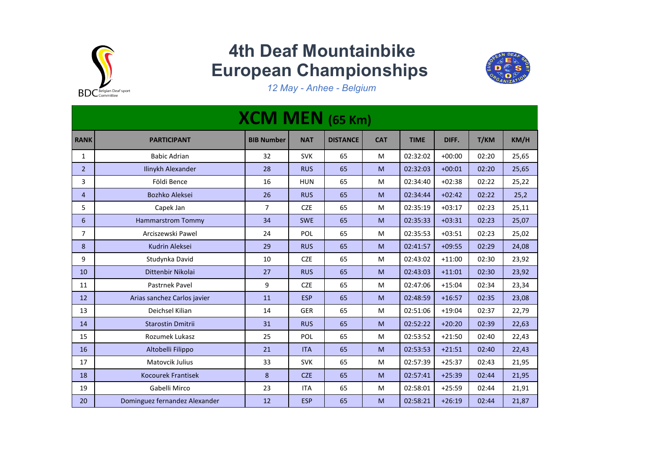

## **4th Deaf Mountainbike European Championships**



*12 May - Anhee - Belgium*

| <b>XCM MEN</b> (65 Km) |                               |                   |            |                 |            |             |          |       |       |  |
|------------------------|-------------------------------|-------------------|------------|-----------------|------------|-------------|----------|-------|-------|--|
| <b>RANK</b>            | <b>PARTICIPANT</b>            | <b>BIB Number</b> | <b>NAT</b> | <b>DISTANCE</b> | <b>CAT</b> | <b>TIME</b> | DIFF.    | T/KM  | KM/H  |  |
| 1                      | <b>Babic Adrian</b>           | 32                | <b>SVK</b> | 65              | M          | 02:32:02    | $+00:00$ | 02:20 | 25,65 |  |
| 2 <sup>2</sup>         | Ilinykh Alexander             | 28                | <b>RUS</b> | 65              | M          | 02:32:03    | $+00:01$ | 02:20 | 25,65 |  |
| 3                      | Földi Bence                   | 16                | <b>HUN</b> | 65              | M          | 02:34:40    | $+02:38$ | 02:22 | 25,22 |  |
| $\overline{4}$         | <b>Bozhko Aleksei</b>         | 26                | <b>RUS</b> | 65              | M          | 02:34:44    | $+02:42$ | 02:22 | 25,2  |  |
| 5                      | Capek Jan                     | 7                 | <b>CZE</b> | 65              | M          | 02:35:19    | $+03:17$ | 02:23 | 25,11 |  |
| 6                      | <b>Hammarstrom Tommy</b>      | 34                | <b>SWE</b> | 65              | M          | 02:35:33    | $+03:31$ | 02:23 | 25,07 |  |
| $\overline{7}$         | Arciszewski Pawel             | 24                | POL        | 65              | M          | 02:35:53    | $+03:51$ | 02:23 | 25,02 |  |
| 8                      | Kudrin Aleksei                | 29                | <b>RUS</b> | 65              | M          | 02:41:57    | $+09:55$ | 02:29 | 24,08 |  |
| 9                      | Studynka David                | 10                | <b>CZE</b> | 65              | M          | 02:43:02    | $+11:00$ | 02:30 | 23,92 |  |
| 10                     | Dittenbir Nikolai             | 27                | <b>RUS</b> | 65              | M          | 02:43:03    | $+11:01$ | 02:30 | 23,92 |  |
| 11                     | Pastrnek Pavel                | 9                 | <b>CZE</b> | 65              | M          | 02:47:06    | $+15:04$ | 02:34 | 23,34 |  |
| 12                     | Arias sanchez Carlos javier   | 11                | <b>ESP</b> | 65              | M          | 02:48:59    | $+16:57$ | 02:35 | 23,08 |  |
| 13                     | Deichsel Kilian               | 14                | <b>GER</b> | 65              | M          | 02:51:06    | $+19:04$ | 02:37 | 22,79 |  |
| 14                     | <b>Starostin Dmitrii</b>      | 31                | <b>RUS</b> | 65              | M          | 02:52:22    | $+20:20$ | 02:39 | 22,63 |  |
| 15                     | Rozumek Lukasz                | 25                | POL        | 65              | M          | 02:53:52    | $+21:50$ | 02:40 | 22,43 |  |
| 16                     | Altobelli Filippo             | 21                | <b>ITA</b> | 65              | M          | 02:53:53    | $+21:51$ | 02:40 | 22,43 |  |
| 17                     | Matovcik Julius               | 33                | <b>SVK</b> | 65              | M          | 02:57:39    | $+25:37$ | 02:43 | 21,95 |  |
| 18                     | <b>Kocourek Frantisek</b>     | 8                 | <b>CZE</b> | 65              | M          | 02:57:41    | $+25:39$ | 02:44 | 21,95 |  |
| 19                     | Gabelli Mirco                 | 23                | <b>ITA</b> | 65              | M          | 02:58:01    | $+25:59$ | 02:44 | 21,91 |  |
| 20                     | Dominguez fernandez Alexander | 12                | <b>ESP</b> | 65              | M          | 02:58:21    | $+26:19$ | 02:44 | 21,87 |  |